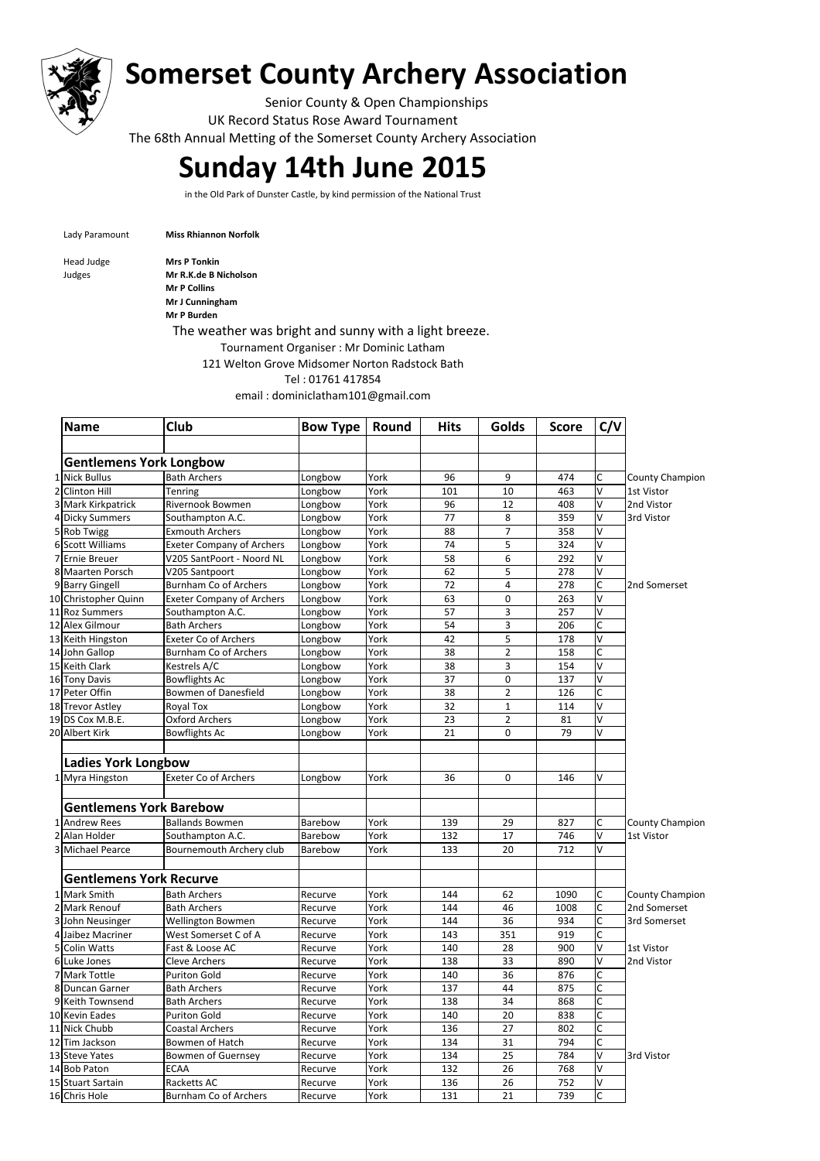

## **Somerset County Archery Association**

Senior County & Open Championships UK Record Status Rose Award Tournament The 68th Annual Metting of the Somerset County Archery Association

## **Sunday 14th June 2015**

in the Old Park of Dunster Castle, by kind permission of the National Trust

Lady Paramount **Miss Rhiannon Norfolk** 

Head Judge **Mrs P Tonkin** 

Judges **Mr R.K.de B Nicholson Mr P Collins Mr J Cunningham**

**Mr P Burden**

The weather was bright and sunny with a light breeze.

Tournament Organiser : Mr Dominic Latham

121 Welton Grove Midsomer Norton Radstock Bath

Tel : 01761 417854

email : dominiclatham101@gmail.com

|                | <b>Name</b>                                     | Club                             | <b>Bow Type</b> | Round        | <b>Hits</b> | Golds               | <b>Score</b> | C/V                     |                        |
|----------------|-------------------------------------------------|----------------------------------|-----------------|--------------|-------------|---------------------|--------------|-------------------------|------------------------|
|                |                                                 |                                  |                 |              |             |                     |              |                         |                        |
|                | <b>Gentlemens York Longbow</b><br>1 Nick Bullus |                                  |                 |              |             |                     |              |                         |                        |
| $\overline{2}$ | <b>Clinton Hill</b>                             | <b>Bath Archers</b>              | Longbow         | York<br>York | 96<br>101   | 9                   | 474          | С<br>V                  | <b>County Champion</b> |
|                |                                                 | Tenring                          | Longbow         |              |             | 10                  | 463          | V                       | 1st Vistor             |
|                | 3 Mark Kirkpatrick                              | Rivernook Bowmen                 | Longbow         | York         | 96          | 12                  | 408          | V                       | 2nd Vistor             |
|                | 4 Dicky Summers                                 | Southampton A.C.                 | Longbow         | York         | 77          | 8<br>$\overline{7}$ | 359          | V                       | 3rd Vistor             |
|                | 5 Rob Twigg                                     | <b>Exmouth Archers</b>           | Longbow         | York         | 88          |                     | 358          | V                       |                        |
|                | 6 Scott Williams                                | <b>Exeter Company of Archers</b> | Longbow         | York         | 74          | 5                   | 324          | V                       |                        |
| $\overline{7}$ | Ernie Breuer                                    | V205 SantPoort - Noord NL        | Longbow         | York         | 58          | 6                   | 292          | V                       |                        |
|                | 8 Maarten Porsch                                | V205 Santpoort                   | Longbow         | York         | 62          | 5                   | 278          | C                       |                        |
|                | 9 Barry Gingell                                 | <b>Burnham Co of Archers</b>     | Longbow         | York         | 72          | 4                   | 278          |                         | 2nd Somerset           |
|                | 10 Christopher Quinn                            | <b>Exeter Company of Archers</b> | Longbow         | York         | 63          | 0                   | 263          | V                       |                        |
|                | 11 Roz Summers                                  | Southampton A.C.                 | Longbow         | York         | 57          | 3                   | 257          | V                       |                        |
|                | 12 Alex Gilmour                                 | <b>Bath Archers</b>              | Longbow         | York         | 54          | 3                   | 206          | C                       |                        |
|                | 13 Keith Hingston                               | <b>Exeter Co of Archers</b>      | Longbow         | York         | 42          | 5                   | 178          | V                       |                        |
|                | 14 John Gallop                                  | Burnham Co of Archers            | Longbow         | York         | 38          | $\overline{2}$      | 158          | C                       |                        |
|                | 15 Keith Clark                                  | Kestrels A/C                     | Longbow         | York         | 38          | 3                   | 154          | V                       |                        |
|                | 16 Tony Davis                                   | <b>Bowflights Ac</b>             | Longbow         | York         | 37          | 0                   | 137          | V                       |                        |
|                | 17 Peter Offin                                  | <b>Bowmen of Danesfield</b>      | Longbow         | York         | 38          | $\overline{2}$      | 126          | C                       |                        |
|                | 18 Trevor Astley                                | Royal Tox                        | Longbow         | York         | 32          | $\mathbf{1}$        | 114          | V                       |                        |
|                | 19 DS Cox M.B.E.                                | <b>Oxford Archers</b>            | Longbow         | York         | 23          | $\overline{2}$      | 81           | $\vee$                  |                        |
|                | 20 Albert Kirk                                  | <b>Bowflights Ac</b>             | Longbow         | York         | 21          | 0                   | 79           | $\overline{\mathsf{v}}$ |                        |
|                |                                                 |                                  |                 |              |             |                     |              |                         |                        |
|                | <b>Ladies York Longbow</b>                      |                                  |                 |              |             |                     |              |                         |                        |
|                | 1 Myra Hingston                                 | <b>Exeter Co of Archers</b>      | Longbow         | York         | 36          | 0                   | 146          | V                       |                        |
|                | <b>Gentlemens York Barebow</b>                  |                                  |                 |              |             |                     |              |                         |                        |
|                | 1 Andrew Rees                                   | <b>Ballands Bowmen</b>           | Barebow         | York         | 139         | 29                  | 827          | С                       | County Champion        |
| $\overline{2}$ | Alan Holder                                     | Southampton A.C.                 | Barebow         | York         | 132         | 17                  | 746          | V                       | 1st Vistor             |
|                |                                                 |                                  |                 |              |             | 20                  | 712          | V                       |                        |
|                | 3 Michael Pearce                                | Bournemouth Archery club         | Barebow         | York         | 133         |                     |              |                         |                        |
|                | <b>Gentlemens York Recurve</b>                  |                                  |                 |              |             |                     |              |                         |                        |
|                | 1 Mark Smith                                    | <b>Bath Archers</b>              | Recurve         | York         | 144         | 62                  | 1090         | C                       | <b>County Champion</b> |
|                | 2 Mark Renouf                                   | <b>Bath Archers</b>              | Recurve         | York         | 144         | 46                  | 1008         | C                       | 2nd Somerset           |
|                | 3John Neusinger                                 | Wellington Bowmen                | Recurve         | York         | 144         | 36                  | 934          | C                       | 3rd Somerset           |
|                | 4 Jaibez Macriner                               | West Somerset C of A             | Recurve         | York         | 143         | 351                 | 919          | C                       |                        |
|                | 5 Colin Watts                                   | Fast & Loose AC                  | Recurve         | York         | 140         | 28                  | 900          | V                       | 1st Vistor             |
|                | 6Luke Jones                                     | <b>Cleve Archers</b>             | Recurve         | York         | 138         | 33                  | 890          | V                       | 2nd Vistor             |
|                | 7 Mark Tottle                                   | <b>Puriton Gold</b>              | Recurve         | York         | 140         | 36                  | 876          | C                       |                        |
|                | 8Duncan Garner                                  | <b>Bath Archers</b>              | Recurve         | York         | 137         | 44                  | 875          | C                       |                        |
|                | 9 Keith Townsend                                | <b>Bath Archers</b>              | Recurve         | York         | 138         | 34                  | 868          | C                       |                        |
|                | 10 Kevin Eades                                  | <b>Puriton Gold</b>              | Recurve         | York         | 140         | 20                  | 838          | C                       |                        |
|                | 11 Nick Chubb                                   | <b>Coastal Archers</b>           | Recurve         | York         | 136         | 27                  | 802          | C                       |                        |
|                | 12Tim Jackson                                   | <b>Bowmen of Hatch</b>           | Recurve         | York         | 134         | 31                  | 794          | C                       |                        |
|                | 13 Steve Yates                                  | <b>Bowmen of Guernsey</b>        | Recurve         | York         | 134         | 25                  | 784          | V                       | 3rd Vistor             |
|                | 14 Bob Paton                                    | <b>ECAA</b>                      | Recurve         | York         | 132         | 26                  | 768          | V                       |                        |
|                | 15 Stuart Sartain                               | Racketts AC                      | Recurve         | York         | 136         | 26                  | 752          | V                       |                        |
|                | 16 Chris Hole                                   | Burnham Co of Archers            | Recurve         | York         | 131         | 21                  | 739          | $\overline{C}$          |                        |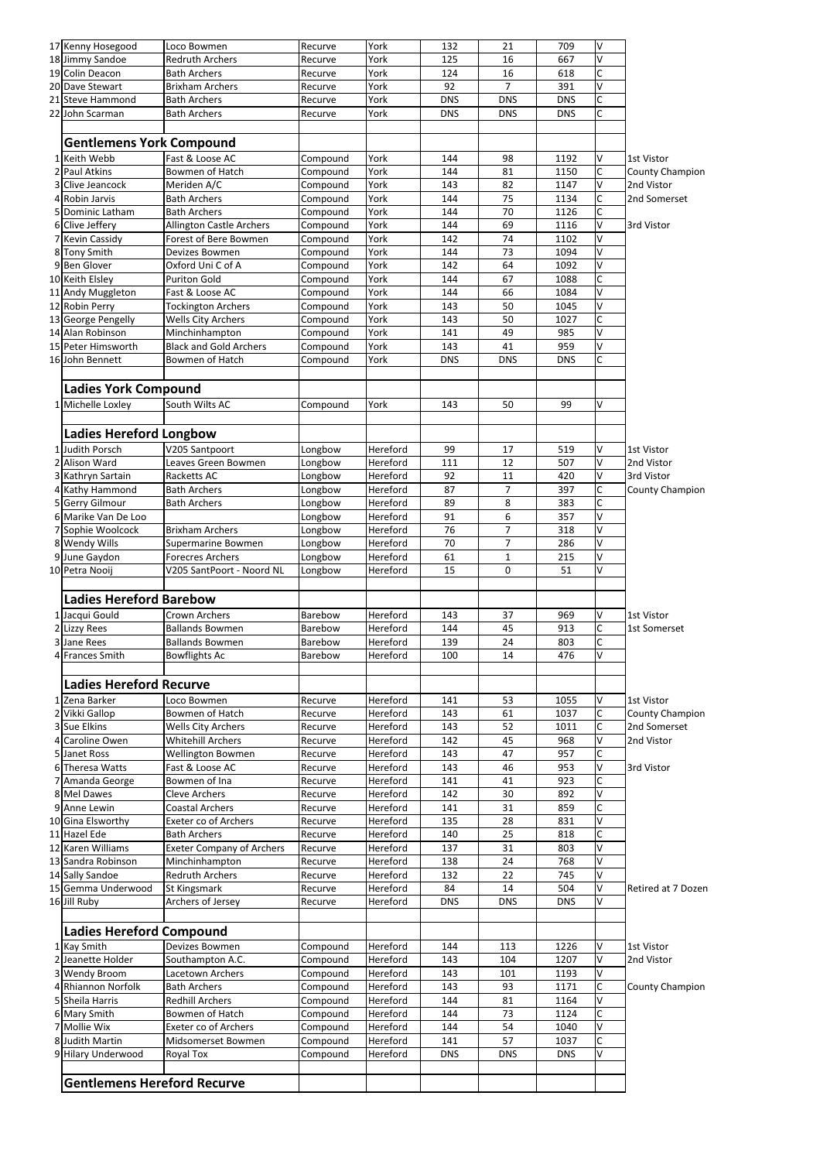|                | 17 Kenny Hosegood                  | Loco Bowmen                      | Recurve  | York     | 132        | 21           | 709        | ٧              |                        |
|----------------|------------------------------------|----------------------------------|----------|----------|------------|--------------|------------|----------------|------------------------|
|                | 18 Jimmy Sandoe                    | <b>Redruth Archers</b>           | Recurve  | York     | 125        | 16           | 667        | V              |                        |
|                | 19 Colin Deacon                    | <b>Bath Archers</b>              | Recurve  | York     | 124        | 16           | 618        | C              |                        |
|                | 20 Dave Stewart                    | <b>Brixham Archers</b>           | Recurve  | York     | 92         | 7            | 391        | V              |                        |
|                | 21 Steve Hammond                   | <b>Bath Archers</b>              | Recurve  | York     | <b>DNS</b> | <b>DNS</b>   | <b>DNS</b> | C              |                        |
|                | 22 John Scarman                    | <b>Bath Archers</b>              | Recurve  | York     | <b>DNS</b> | <b>DNS</b>   | <b>DNS</b> | C              |                        |
|                |                                    |                                  |          |          |            |              |            |                |                        |
|                |                                    |                                  |          |          |            |              |            |                |                        |
|                | <b>Gentlemens York Compound</b>    |                                  |          |          |            |              |            |                |                        |
|                | 1 Keith Webb                       | Fast & Loose AC                  | Compound | York     | 144        | 98           | 1192       | V              | 1st Vistor             |
|                | 2 Paul Atkins                      | Bowmen of Hatch                  | Compound | York     | 144        | 81           | 1150       | C              | County Champion        |
| 3              | Clive Jeancock                     | Meriden A/C                      | Compound | York     | 143        | 82           | 1147       | V              | 2nd Vistor             |
|                | 4 Robin Jarvis                     | <b>Bath Archers</b>              | Compound | York     | 144        | 75           | 1134       | C              | 2nd Somerset           |
|                | 5 Dominic Latham                   | <b>Bath Archers</b>              | Compound | York     | 144        | 70           | 1126       | C              |                        |
|                | 6 Clive Jeffery                    | <b>Allington Castle Archers</b>  | Compound | York     | 144        | 69           | 1116       | V              | 3rd Vistor             |
|                | 7 Kevin Cassidy                    | Forest of Bere Bowmen            | Compound | York     | 142        | 74           | 1102       | V              |                        |
|                | 8 Tony Smith                       | Devizes Bowmen                   | Compound | York     | 144        | 73           | 1094       | V              |                        |
|                | 9Ben Glover                        | Oxford Uni C of A                | Compound | York     | 142        | 64           | 1092       | V              |                        |
|                | 10 Keith Elsley                    | <b>Puriton Gold</b>              | Compound | York     | 144        | 67           | 1088       | C              |                        |
|                | 11 Andy Muggleton                  | Fast & Loose AC                  | Compound | York     | 144        | 66           | 1084       | V              |                        |
|                | 12 Robin Perry                     |                                  |          | York     | 143        | 50           | 1045       | V              |                        |
|                |                                    | <b>Tockington Archers</b>        | Compound |          |            |              | 1027       | C              |                        |
|                | 13 George Pengelly                 | Wells City Archers               | Compound | York     | 143        | 50           |            |                |                        |
|                | 14 Alan Robinson                   | Minchinhampton                   | Compound | York     | 141        | 49           | 985        | V              |                        |
|                | 15 Peter Himsworth                 | <b>Black and Gold Archers</b>    | Compound | York     | 143        | 41           | 959        | V              |                        |
|                | 16 John Bennett                    | Bowmen of Hatch                  | Compound | York     | <b>DNS</b> | <b>DNS</b>   | <b>DNS</b> | C              |                        |
|                |                                    |                                  |          |          |            |              |            |                |                        |
|                | <b>Ladies York Compound</b>        |                                  |          |          |            |              |            |                |                        |
|                | 1 Michelle Loxley                  | South Wilts AC                   | Compound | York     | 143        | 50           | 99         | V              |                        |
|                |                                    |                                  |          |          |            |              |            |                |                        |
|                | <b>Ladies Hereford Longbow</b>     |                                  |          |          |            |              |            |                |                        |
|                |                                    |                                  |          |          |            |              |            |                |                        |
|                | 1 Judith Porsch                    | V205 Santpoort                   | Longbow  | Hereford | 99         | 17           | 519        | V              | 1st Vistor             |
|                | 2 Alison Ward                      | Leaves Green Bowmen              | Longbow  | Hereford | 111        | 12           | 507        | V              | 2nd Vistor             |
|                | 3 Kathryn Sartain                  | Racketts AC                      | Longbow  | Hereford | 92         | 11           | 420        | V              | 3rd Vistor             |
|                | 4 Kathy Hammond                    | <b>Bath Archers</b>              | Longbow  | Hereford | 87         | 7            | 397        | С              | <b>County Champion</b> |
|                | 5 Gerry Gilmour                    | <b>Bath Archers</b>              | Longbow  | Hereford | 89         | 8            | 383        | $\overline{C}$ |                        |
|                | 6 Marike Van De Loo                |                                  | Longbow  | Hereford | 91         | 6            | 357        | V              |                        |
|                | 7 Sophie Woolcock                  | <b>Brixham Archers</b>           | Longbow  | Hereford | 76         | 7            | 318        | V              |                        |
|                | 8 Wendy Wills                      | Supermarine Bowmen               | Longbow  | Hereford | 70         | 7            | 286        | V              |                        |
|                | 9June Gaydon                       | <b>Forecres Archers</b>          | Longbow  | Hereford | 61         | $\mathbf{1}$ | 215        | V              |                        |
|                | 10 Petra Nooij                     | V205 SantPoort - Noord NL        | Longbow  | Hereford | 15         | $\mathbf 0$  | 51         | V              |                        |
|                |                                    |                                  |          |          |            |              |            |                |                        |
|                | <b>Ladies Hereford Barebow</b>     |                                  |          |          |            |              |            |                |                        |
|                |                                    |                                  |          |          |            |              |            |                |                        |
|                | 1 Jacqui Gould                     | Crown Archers                    | Barebow  | Hereford | 143        | 37           | 969        | V              | 1st Vistor             |
|                | 2 Lizzy Rees                       | <b>Ballands Bowmen</b>           | Barebow  | Hereford | 144        | 45           | 913        | C              | 1st Somerset           |
|                | 3 Jane Rees                        | <b>Ballands Bowmen</b>           | Barebow  | Hereford | 139        | 24           | 803        | C              |                        |
|                | 4 Frances Smith                    | <b>Bowflights Ac</b>             | Barebow  | Hereford | 100        | 14           | 476        | V              |                        |
|                |                                    |                                  |          |          |            |              |            |                |                        |
|                | <b>Ladies Hereford Recurve</b>     |                                  |          |          |            |              |            |                |                        |
|                | 1 Zena Barker                      | Loco Bowmen                      | Recurve  | Hereford | 141        | 53           | 1055       | V              | 1st Vistor             |
|                | 2 Vikki Gallop                     | Bowmen of Hatch                  | Recurve  | Hereford | 143        | 61           | 1037       | С              | County Champion        |
|                | 3 Sue Elkins                       | <b>Wells City Archers</b>        | Recurve  | Hereford | 143        | 52           | 1011       | C              | 2nd Somerset           |
|                | 4 Caroline Owen                    | <b>Whitehill Archers</b>         | Recurve  | Hereford | 142        | 45           | 968        | V              | 2nd Vistor             |
|                | 5 Janet Ross                       | Wellington Bowmen                | Recurve  | Hereford | 143        | 47           | 957        | C              |                        |
|                | 6 Theresa Watts                    | Fast & Loose AC                  | Recurve  | Hereford | 143        | 46           | 953        | V              | 3rd Vistor             |
| $\overline{7}$ |                                    | Bowmen of Ina                    |          |          | 141        | 41           | 923        | C              |                        |
|                | Amanda George                      |                                  | Recurve  | Hereford |            |              |            | V              |                        |
|                | 8 Mel Dawes                        | <b>Cleve Archers</b>             | Recurve  | Hereford | 142        | 30           | 892        |                |                        |
|                | 9 Anne Lewin                       | <b>Coastal Archers</b>           | Recurve  | Hereford | 141        | 31           | 859        | C              |                        |
|                | 10 Gina Elsworthy                  | <b>Exeter co of Archers</b>      | Recurve  | Hereford | 135        | 28           | 831        | V              |                        |
|                | 11 Hazel Ede                       | <b>Bath Archers</b>              | Recurve  | Hereford | 140        | 25           | 818        | C              |                        |
|                | 12 Karen Williams                  | <b>Exeter Company of Archers</b> | Recurve  | Hereford | 137        | 31           | 803        | V              |                        |
|                | 13 Sandra Robinson                 | Minchinhampton                   | Recurve  | Hereford | 138        | 24           | 768        | V              |                        |
|                | 14 Sally Sandoe                    | <b>Redruth Archers</b>           | Recurve  | Hereford | 132        | 22           | 745        | V              |                        |
|                | 15 Gemma Underwood                 | St Kingsmark                     | Recurve  | Hereford | 84         | 14           | 504        | V              | Retired at 7 Dozen     |
|                | 16 Jill Ruby                       | Archers of Jersey                | Recurve  | Hereford | <b>DNS</b> | <b>DNS</b>   | <b>DNS</b> | V              |                        |
|                |                                    |                                  |          |          |            |              |            |                |                        |
|                | <b>Ladies Hereford Compound</b>    |                                  |          |          |            |              |            |                |                        |
|                | 1 Kay Smith                        | Devizes Bowmen                   | Compound | Hereford | 144        | 113          | 1226       | V              | 1st Vistor             |
|                | 2 Jeanette Holder                  | Southampton A.C.                 | Compound | Hereford | 143        | 104          | 1207       | V              | 2nd Vistor             |
|                | 3 Wendy Broom                      | Lacetown Archers                 | Compound | Hereford | 143        | 101          | 1193       | V              |                        |
|                | 4 Rhiannon Norfolk                 | <b>Bath Archers</b>              |          | Hereford | 143        | 93           | 1171       | C              |                        |
|                |                                    |                                  | Compound |          |            | 81           |            | V              | County Champion        |
|                | 5 Sheila Harris                    | <b>Redhill Archers</b>           | Compound | Hereford | 144        |              | 1164       |                |                        |
|                | 6 Mary Smith                       | Bowmen of Hatch                  | Compound | Hereford | 144        | 73           | 1124       | C              |                        |
|                | 7 Mollie Wix                       | <b>Exeter co of Archers</b>      | Compound | Hereford | 144        | 54           | 1040       | V              |                        |
|                | 8 Judith Martin                    | Midsomerset Bowmen               | Compound | Hereford | 141        | 57           | 1037       | C              |                        |
|                | 9 Hilary Underwood                 | Royal Tox                        | Compound | Hereford | <b>DNS</b> | <b>DNS</b>   | <b>DNS</b> | V              |                        |
|                |                                    |                                  |          |          |            |              |            |                |                        |
|                |                                    |                                  |          |          |            |              |            |                |                        |
|                | <b>Gentlemens Hereford Recurve</b> |                                  |          |          |            |              |            |                |                        |